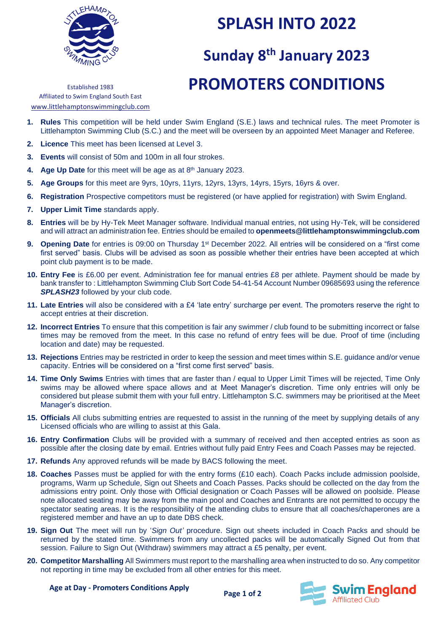

### **SPLASH INTO 2022**

# **Sunday 8 th January 2023 PROMOTERS CONDITIONS**

Established 1983 Affiliated to Swim England South East www.littlehamptonswimmingclub.com

- **1. Rules** This competition will be held under Swim England (S.E.) laws and technical rules. The meet Promoter is Littlehampton Swimming Club (S.C.) and the meet will be overseen by an appointed Meet Manager and Referee.
- **2. Licence** This meet has been licensed at Level 3.
- **3. Events** will consist of 50m and 100m in all four strokes.
- 4. Age Up Date for this meet will be age as at 8<sup>th</sup> January 2023.
- **5. Age Groups** for this meet are 9yrs, 10yrs, 11yrs, 12yrs, 13yrs, 14yrs, 15yrs, 16yrs & over.
- **6. Registration** Prospective competitors must be registered (or have applied for registration) with Swim England.
- **7. Upper Limit Time** standards apply.
- **8. Entries** will be by Hy-Tek Meet Manager software. Individual manual entries, not using Hy-Tek, will be considered and will attract an administration fee. Entries should be emailed to **openmeets@littlehamptonswimmingclub.com**
- **9. Opening Date** for entries is 09:00 on Thursday 1<sup>st</sup> December 2022. All entries will be considered on a "first come first served" basis. Clubs will be advised as soon as possible whether their entries have been accepted at which point club payment is to be made.
- **10. Entry Fee** is £6.00 per event. Administration fee for manual entries £8 per athlete. Payment should be made by bank transfer to : Littlehampton Swimming Club Sort Code 54-41-54 Account Number 09685693 using the reference **SPLASH23** followed by your club code.
- **11. Late Entries** will also be considered with a £4 'late entry' surcharge per event. The promoters reserve the right to accept entries at their discretion.
- **12. Incorrect Entries** To ensure that this competition is fair any swimmer / club found to be submitting incorrect or false times may be removed from the meet. In this case no refund of entry fees will be due. Proof of time (including location and date) may be requested.
- **13. Rejections** Entries may be restricted in order to keep the session and meet times within S.E. guidance and/or venue capacity. Entries will be considered on a "first come first served" basis.
- **14. Time Only Swims** Entries with times that are faster than / equal to Upper Limit Times will be rejected, Time Only swims may be allowed where space allows and at Meet Manager's discretion. Time only entries will only be considered but please submit them with your full entry. Littlehampton S.C. swimmers may be prioritised at the Meet Manager's discretion.
- **15. Officials** All clubs submitting entries are requested to assist in the running of the meet by supplying details of any Licensed officials who are willing to assist at this Gala.
- **16. Entry Confirmation** Clubs will be provided with a summary of received and then accepted entries as soon as possible after the closing date by email. Entries without fully paid Entry Fees and Coach Passes may be rejected.
- **17. Refunds** Any approved refunds will be made by BACS following the meet.
- **18. Coaches** Passes must be applied for with the entry forms (£10 each). Coach Packs include admission poolside, programs, Warm up Schedule, Sign out Sheets and Coach Passes. Packs should be collected on the day from the admissions entry point. Only those with Official designation or Coach Passes will be allowed on poolside. Please note allocated seating may be away from the main pool and Coaches and Entrants are not permitted to occupy the spectator seating areas. It is the responsibility of the attending clubs to ensure that all coaches/chaperones are a registered member and have an up to date DBS check.
- **19. Sign Out** The meet will run by '*Sign Out'* procedure. Sign out sheets included in Coach Packs and should be returned by the stated time. Swimmers from any uncollected packs will be automatically Signed Out from that session. Failure to Sign Out (Withdraw) swimmers may attract a £5 penalty, per event.
- **20. Competitor Marshalling** All Swimmers must report to the marshalling area when instructed to do so. Any competitor not reporting in time may be excluded from all other entries for this meet.



**Age at Day - Promoters Conditions Apply**